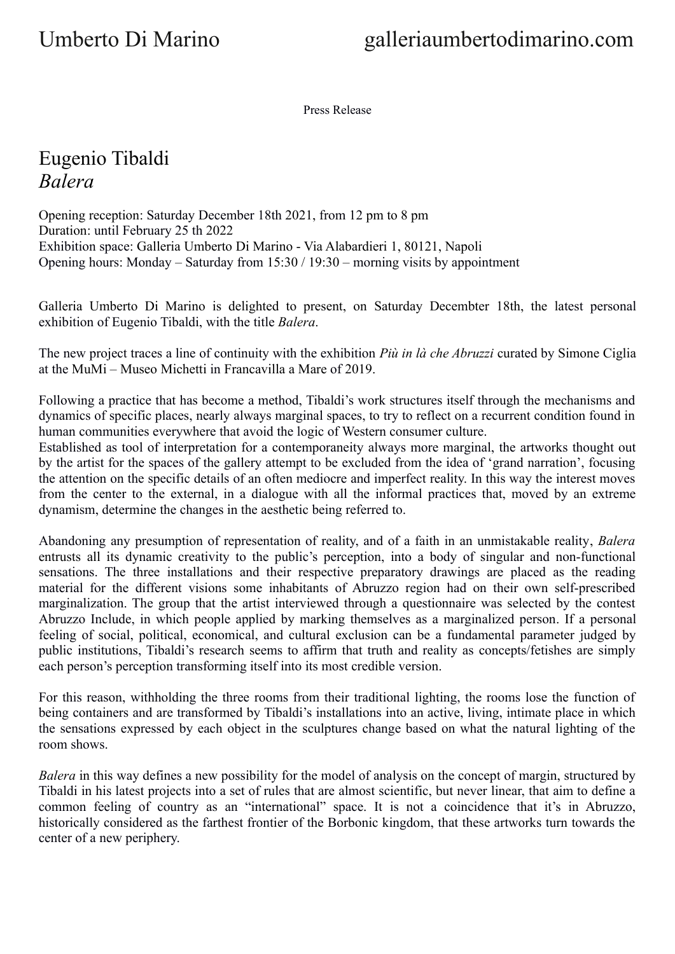Press Release

## Eugenio Tibaldi *Balera*

Opening reception: Saturday December 18th 2021, from 12 pm to 8 pm Duration: until February 25 th 2022 Exhibition space: Galleria Umberto Di Marino - Via Alabardieri 1, 80121, Napoli Opening hours: Monday – Saturday from 15:30 / 19:30 – morning visits by appointment

Galleria Umberto Di Marino is delighted to present, on Saturday Decembter 18th, the latest personal exhibition of Eugenio Tibaldi, with the title *Balera*.

The new project traces a line of continuity with the exhibition *Più in là che Abruzzi* curated by Simone Ciglia at the MuMi – Museo Michetti in Francavilla a Mare of 2019.

Following a practice that has become a method, Tibaldi's work structures itself through the mechanisms and dynamics of specific places, nearly always marginal spaces, to try to reflect on a recurrent condition found in human communities everywhere that avoid the logic of Western consumer culture.

Established as tool of interpretation for a contemporaneity always more marginal, the artworks thought out by the artist for the spaces of the gallery attempt to be excluded from the idea of 'grand narration', focusing the attention on the specific details of an often mediocre and imperfect reality. In this way the interest moves from the center to the external, in a dialogue with all the informal practices that, moved by an extreme dynamism, determine the changes in the aesthetic being referred to.

Abandoning any presumption of representation of reality, and of a faith in an unmistakable reality, *Balera* entrusts all its dynamic creativity to the public's perception, into a body of singular and non-functional sensations. The three installations and their respective preparatory drawings are placed as the reading material for the different visions some inhabitants of Abruzzo region had on their own self-prescribed marginalization. The group that the artist interviewed through a questionnaire was selected by the contest Abruzzo Include, in which people applied by marking themselves as a marginalized person. If a personal feeling of social, political, economical, and cultural exclusion can be a fundamental parameter judged by public institutions, Tibaldi's research seems to affirm that truth and reality as concepts/fetishes are simply each person's perception transforming itself into its most credible version.

For this reason, withholding the three rooms from their traditional lighting, the rooms lose the function of being containers and are transformed by Tibaldi's installations into an active, living, intimate place in which the sensations expressed by each object in the sculptures change based on what the natural lighting of the room shows.

*Balera* in this way defines a new possibility for the model of analysis on the concept of margin, structured by Tibaldi in his latest projects into a set of rules that are almost scientific, but never linear, that aim to define a common feeling of country as an "international" space. It is not a coincidence that it's in Abruzzo, historically considered as the farthest frontier of the Borbonic kingdom, that these artworks turn towards the center of a new periphery.